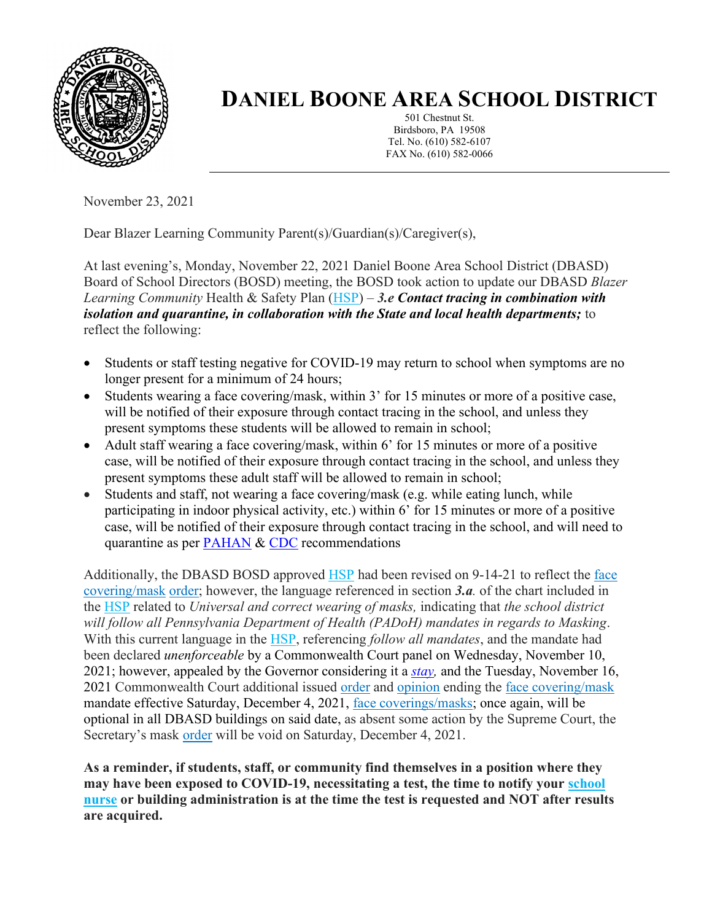

## **DANIEL BOONE AREA SCHOOL DISTRICT**

501 Chestnut St. Birdsboro, PA 19508 Tel. No. (610) 582-6107 FAX No. (610) 582-0066

November 23, 2021

Dear Blazer Learning Community Parent(s)/Guardian(s)/Caregiver(s),

At last evening's, Monday, November 22, 2021 Daniel Boone Area School District (DBASD) Board of School Directors (BOSD) meeting, the BOSD took action to update our DBASD *Blazer Learning Community* Health & Safety Plan [\(HSP\)](https://www.dboone.org/Page/516) – *3.e Contact tracing in combination with isolation and quarantine, in collaboration with the State and local health departments;* to reflect the following:

- Students or staff testing negative for COVID-19 may return to school when symptoms are no longer present for a minimum of 24 hours;
- Students wearing a face covering/mask, within 3' for 15 minutes or more of a positive case, will be notified of their exposure through contact tracing in the school, and unless they present symptoms these students will be allowed to remain in school;
- Adult staff wearing a face covering/mask, within 6' for 15 minutes or more of a positive case, will be notified of their exposure through contact tracing in the school, and unless they present symptoms these adult staff will be allowed to remain in school;
- Students and staff, not wearing a face covering/mask (e.g. while eating lunch, while participating in indoor physical activity, etc.) within 6' for 15 minutes or more of a positive case, will be notified of their exposure through contact tracing in the school, and will need to quarantine as per [PAHAN](https://www.health.pa.gov/topics/Documents/HAN/2021-607-10-25-Updated%20PH%20Recomm.pdf) & [CDC](https://www.cdc.gov/coronavirus/2019-ncov/vaccines/fully-vaccinated-guidance.html) recommendations

Additionally, the DBASD BOSD approved [HSP](https://www.dboone.org/Page/516) had been revised on 9-14-21 to reflect the [face](https://www.cdc.gov/coronavirus/2019-ncov/prevent-getting-sick/cloth-face-cover-guidance.html)  [covering/mask](https://www.cdc.gov/coronavirus/2019-ncov/prevent-getting-sick/cloth-face-cover-guidance.html) [order;](https://www.health.pa.gov/topics/Documents/Diseases%20and%20Conditions/Order%20of%20the%20Acting%20Secretary%20Directing%20Face%20Coverings%20in%20Schools.pdf) however, the language referenced in section *3.a.* of the chart included in the [HSP](https://www.dboone.org/Page/516) related to *Universal and correct wearing of masks,* indicating that *the school district will follow all Pennsylvania Department of Health (PADoH) mandates in regards to Masking*. With this current language in the [HSP,](https://www.dboone.org/Page/516) referencing *follow all mandates*, and the mandate had been declared *unenforceable* by a Commonwealth Court panel on Wednesday, November 10, 2021; however, appealed by the Governor considering it a *[stay,](https://www.law.cornell.edu/wex/stay_of_proceedings#:~:text=A%20ruling%20by%20a%20court,proceedings%20in%20the%20court%20below)* and the Tuesday, November 16, 2021 Commonwealth Court additional issued [order](https://www.pacourts.us/Storage/media/pdfs/20211116/214536-294md21stayorder.pdf) and [opinion](https://www.pacourts.us/Storage/media/pdfs/20211116/214246-294md21stay.pdf) ending the [face covering/mask](https://www.cdc.gov/coronavirus/2019-ncov/prevent-getting-sick/cloth-face-cover-guidance.html) mandate effective Saturday, December 4, 2021, [face coverings/masks;](https://www.cdc.gov/coronavirus/2019-ncov/prevent-getting-sick/cloth-face-cover-guidance.html) once again, will be optional in all DBASD buildings on said date, as absent some action by the Supreme Court, the Secretary's mask [order](https://www.health.pa.gov/topics/Documents/Diseases%20and%20Conditions/Order%20of%20the%20Acting%20Secretary%20Directing%20Face%20Coverings%20in%20Schools.pdf) will be void on Saturday, December 4, 2021.

**As a reminder, if students, staff, or community find themselves in a position where they may have been exposed to COVID-19, necessitating a test, the time to notify your [school](https://www.dboone.org/Page/484)  [nurse](https://www.dboone.org/Page/484) or building administration is at the time the test is requested and NOT after results are acquired.**